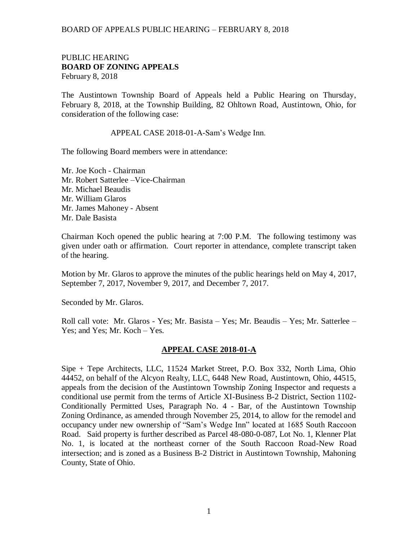## PUBLIC HEARING **BOARD OF ZONING APPEALS**  February 8, 2018

The Austintown Township Board of Appeals held a Public Hearing on Thursday, February 8, 2018, at the Township Building, 82 Ohltown Road, Austintown, Ohio, for consideration of the following case:

APPEAL CASE 2018-01-A-Sam's Wedge Inn.

The following Board members were in attendance:

Mr. Joe Koch - Chairman Mr. Robert Satterlee –Vice-Chairman Mr. Michael Beaudis Mr. William Glaros Mr. James Mahoney - Absent Mr. Dale Basista

Chairman Koch opened the public hearing at 7:00 P.M. The following testimony was given under oath or affirmation. Court reporter in attendance, complete transcript taken of the hearing.

Motion by Mr. Glaros to approve the minutes of the public hearings held on May 4, 2017, September 7, 2017, November 9, 2017, and December 7, 2017.

Seconded by Mr. Glaros.

Roll call vote: Mr. Glaros - Yes; Mr. Basista – Yes; Mr. Beaudis – Yes; Mr. Satterlee – Yes; and Yes; Mr. Koch – Yes.

### **APPEAL CASE 2018-01-A**

Sipe + Tepe Architects, LLC, 11524 Market Street, P.O. Box 332, North Lima, Ohio 44452, on behalf of the Alcyon Realty, LLC, 6448 New Road, Austintown, Ohio, 44515, appeals from the decision of the Austintown Township Zoning Inspector and requests a conditional use permit from the terms of Article XI-Business B-2 District, Section 1102- Conditionally Permitted Uses, Paragraph No. 4 - Bar, of the Austintown Township Zoning Ordinance, as amended through November 25, 2014, to allow for the remodel and occupancy under new ownership of "Sam's Wedge Inn" located at 1685 South Raccoon Road. Said property is further described as Parcel 48-080-0-087, Lot No. 1, Klenner Plat No. 1, is located at the northeast corner of the South Raccoon Road-New Road intersection; and is zoned as a Business B-2 District in Austintown Township, Mahoning County, State of Ohio.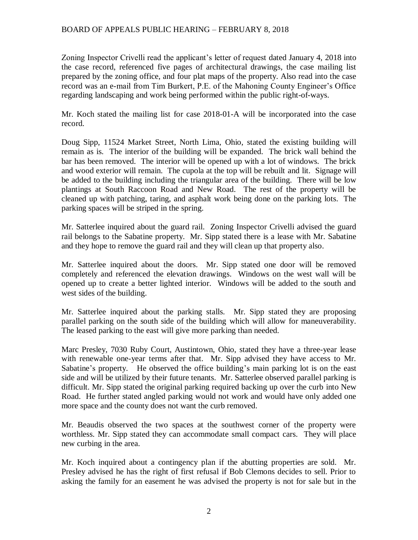Zoning Inspector Crivelli read the applicant's letter of request dated January 4, 2018 into the case record, referenced five pages of architectural drawings, the case mailing list prepared by the zoning office, and four plat maps of the property. Also read into the case record was an e-mail from Tim Burkert, P.E. of the Mahoning County Engineer's Office regarding landscaping and work being performed within the public right-of-ways.

Mr. Koch stated the mailing list for case 2018-01-A will be incorporated into the case record.

Doug Sipp, 11524 Market Street, North Lima, Ohio, stated the existing building will remain as is. The interior of the building will be expanded. The brick wall behind the bar has been removed. The interior will be opened up with a lot of windows. The brick and wood exterior will remain. The cupola at the top will be rebuilt and lit. Signage will be added to the building including the triangular area of the building. There will be low plantings at South Raccoon Road and New Road. The rest of the property will be cleaned up with patching, taring, and asphalt work being done on the parking lots. The parking spaces will be striped in the spring.

Mr. Satterlee inquired about the guard rail. Zoning Inspector Crivelli advised the guard rail belongs to the Sabatine property. Mr. Sipp stated there is a lease with Mr. Sabatine and they hope to remove the guard rail and they will clean up that property also.

Mr. Satterlee inquired about the doors. Mr. Sipp stated one door will be removed completely and referenced the elevation drawings. Windows on the west wall will be opened up to create a better lighted interior. Windows will be added to the south and west sides of the building.

Mr. Satterlee inquired about the parking stalls. Mr. Sipp stated they are proposing parallel parking on the south side of the building which will allow for maneuverability. The leased parking to the east will give more parking than needed.

Marc Presley, 7030 Ruby Court, Austintown, Ohio, stated they have a three-year lease with renewable one-year terms after that. Mr. Sipp advised they have access to Mr. Sabatine's property. He observed the office building's main parking lot is on the east side and will be utilized by their future tenants. Mr. Satterlee observed parallel parking is difficult. Mr. Sipp stated the original parking required backing up over the curb into New Road. He further stated angled parking would not work and would have only added one more space and the county does not want the curb removed.

Mr. Beaudis observed the two spaces at the southwest corner of the property were worthless. Mr. Sipp stated they can accommodate small compact cars. They will place new curbing in the area.

Mr. Koch inquired about a contingency plan if the abutting properties are sold. Mr. Presley advised he has the right of first refusal if Bob Clemons decides to sell. Prior to asking the family for an easement he was advised the property is not for sale but in the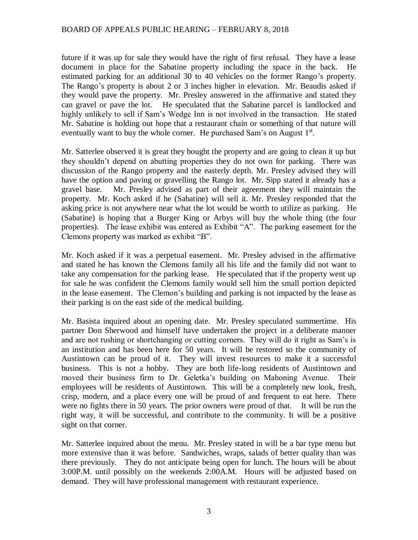future if it was up for sale they would have the right of first refusal. They have a lease document in place for the Sabatine property including the space in the back. He estimated parking for an additional 30 to 40 vehicles on the former Rango's property. The Rango's property is about 2 or 3 inches higher in elevation. Mr. Beaudis asked if they would pave the property. Mr. Presley answered in the affirmative and stated they can gravel or pave the lot. He speculated that the Sabatine parcel is landlocked and highly unlikely to sell if Sam's Wedge Inn is not involved in the transaction. He stated Mr. Sabatine is holding out hope that a restaurant chain or something of that nature will eventually want to buy the whole corner. He purchased Sam's on August  $1<sup>st</sup>$ .

Mr. Satterlee observed it is great they bought the property and are going to clean it up but they shouldn't depend on abutting properties they do not own for parking. There was discussion of the Rango property and the easterly depth. Mr. Presley advised they will have the option and paving or gravelling the Rango lot. Mr. Sipp stated it already has a gravel base. Mr. Presley advised as part of their agreement they will maintain the property. Mr. Koch asked if he (Sabatine) will sell it. Mr. Presley responded that the asking price is not anywhere near what the lot would be worth to utilize as parking. He (Sabatine) is hoping that a Burger King or Arbys will buy the whole thing (the four properties). The lease exhibit was entered as Exhibit "A". The parking easement for the Clemons property was marked as exhibit "B".

Mr. Koch asked if it was a perpetual easement. Mr. Presley advised in the affirmative and stated he has known the Clemons family all his life and the family did not want to take any compensation for the parking lease. He speculated that if the property went up for sale he was confident the Clemons family would sell him the small portion depicted in the lease easement. The Clemon's building and parking is not impacted by the lease as their parking is on the east side of the medical building.

Mr. Basista inquired about an opening date. Mr. Presley speculated summertime. His partner Don Sherwood and himself have undertaken the project in a deliberate manner and are not rushing or shortchanging or cutting corners. They will do it right as Sam's is an institution and has been here for 50 years. It will be restored so the community of Austintown can be proud of it. They will invest resources to make it a successful business. This is not a hobby. They are both life-long residents of Austintown and moved their business firm to Dr. Geletka's building on Mahoning Avenue. Their employees will be residents of Austintown. This will be a completely new look, fresh, crisp, modern, and a place every one will be proud of and frequent to eat here. There were no fights there in 50 years. The prior owners were proud of that. It will be run the right way, it will be successful, and contribute to the community. It will be a positive sight on that corner.

Mr. Satterlee inquired about the menu. Mr. Presley stated in will be a bar type menu but more extensive than it was before. Sandwiches, wraps, salads of better quality than was there previously. They do not anticipate being open for lunch. The hours will be about 3:00P.M. until possibly on the weekends 2:00A.M. Hours will be adjusted based on demand. They will have professional management with restaurant experience.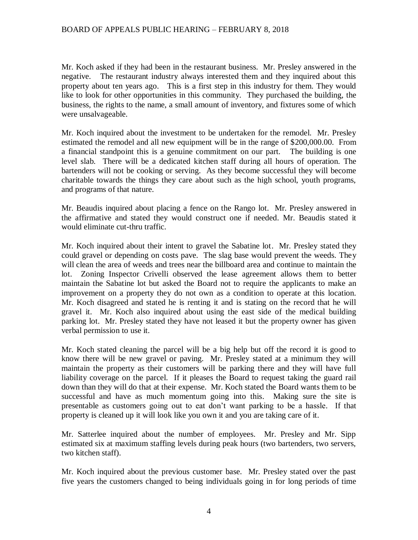Mr. Koch asked if they had been in the restaurant business. Mr. Presley answered in the negative. The restaurant industry always interested them and they inquired about this property about ten years ago. This is a first step in this industry for them. They would like to look for other opportunities in this community. They purchased the building, the business, the rights to the name, a small amount of inventory, and fixtures some of which were unsalvageable.

Mr. Koch inquired about the investment to be undertaken for the remodel. Mr. Presley estimated the remodel and all new equipment will be in the range of \$200,000.00. From a financial standpoint this is a genuine commitment on our part. The building is one level slab. There will be a dedicated kitchen staff during all hours of operation. The bartenders will not be cooking or serving. As they become successful they will become charitable towards the things they care about such as the high school, youth programs, and programs of that nature.

Mr. Beaudis inquired about placing a fence on the Rango lot. Mr. Presley answered in the affirmative and stated they would construct one if needed. Mr. Beaudis stated it would eliminate cut-thru traffic.

Mr. Koch inquired about their intent to gravel the Sabatine lot. Mr. Presley stated they could gravel or depending on costs pave. The slag base would prevent the weeds. They will clean the area of weeds and trees near the billboard area and continue to maintain the lot. Zoning Inspector Crivelli observed the lease agreement allows them to better maintain the Sabatine lot but asked the Board not to require the applicants to make an improvement on a property they do not own as a condition to operate at this location. Mr. Koch disagreed and stated he is renting it and is stating on the record that he will gravel it. Mr. Koch also inquired about using the east side of the medical building parking lot. Mr. Presley stated they have not leased it but the property owner has given verbal permission to use it.

Mr. Koch stated cleaning the parcel will be a big help but off the record it is good to know there will be new gravel or paving. Mr. Presley stated at a minimum they will maintain the property as their customers will be parking there and they will have full liability coverage on the parcel. If it pleases the Board to request taking the guard rail down than they will do that at their expense. Mr. Koch stated the Board wants them to be successful and have as much momentum going into this. Making sure the site is presentable as customers going out to eat don't want parking to be a hassle. If that property is cleaned up it will look like you own it and you are taking care of it.

Mr. Satterlee inquired about the number of employees. Mr. Presley and Mr. Sipp estimated six at maximum staffing levels during peak hours (two bartenders, two servers, two kitchen staff).

Mr. Koch inquired about the previous customer base. Mr. Presley stated over the past five years the customers changed to being individuals going in for long periods of time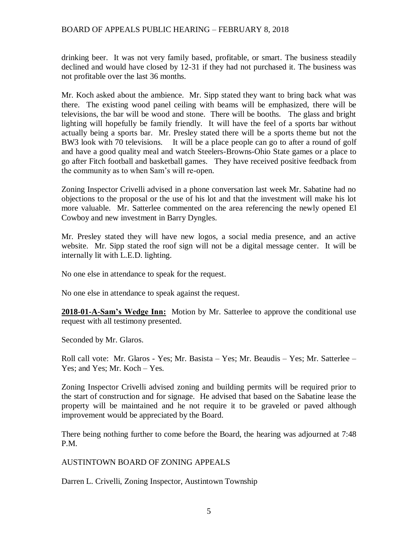drinking beer. It was not very family based, profitable, or smart. The business steadily declined and would have closed by 12-31 if they had not purchased it. The business was not profitable over the last 36 months.

Mr. Koch asked about the ambience. Mr. Sipp stated they want to bring back what was there. The existing wood panel ceiling with beams will be emphasized, there will be televisions, the bar will be wood and stone. There will be booths. The glass and bright lighting will hopefully be family friendly. It will have the feel of a sports bar without actually being a sports bar. Mr. Presley stated there will be a sports theme but not the BW3 look with 70 televisions. It will be a place people can go to after a round of golf and have a good quality meal and watch Steelers-Browns-Ohio State games or a place to go after Fitch football and basketball games. They have received positive feedback from the community as to when Sam's will re-open.

Zoning Inspector Crivelli advised in a phone conversation last week Mr. Sabatine had no objections to the proposal or the use of his lot and that the investment will make his lot more valuable. Mr. Satterlee commented on the area referencing the newly opened El Cowboy and new investment in Barry Dyngles.

Mr. Presley stated they will have new logos, a social media presence, and an active website. Mr. Sipp stated the roof sign will not be a digital message center. It will be internally lit with L.E.D. lighting.

No one else in attendance to speak for the request.

No one else in attendance to speak against the request.

**2018-01-A-Sam's Wedge Inn:** Motion by Mr. Satterlee to approve the conditional use request with all testimony presented.

Seconded by Mr. Glaros.

Roll call vote: Mr. Glaros - Yes; Mr. Basista – Yes; Mr. Beaudis – Yes; Mr. Satterlee – Yes; and Yes; Mr. Koch – Yes.

Zoning Inspector Crivelli advised zoning and building permits will be required prior to the start of construction and for signage. He advised that based on the Sabatine lease the property will be maintained and he not require it to be graveled or paved although improvement would be appreciated by the Board.

There being nothing further to come before the Board, the hearing was adjourned at 7:48 P.M.

## AUSTINTOWN BOARD OF ZONING APPEALS

Darren L. Crivelli, Zoning Inspector, Austintown Township